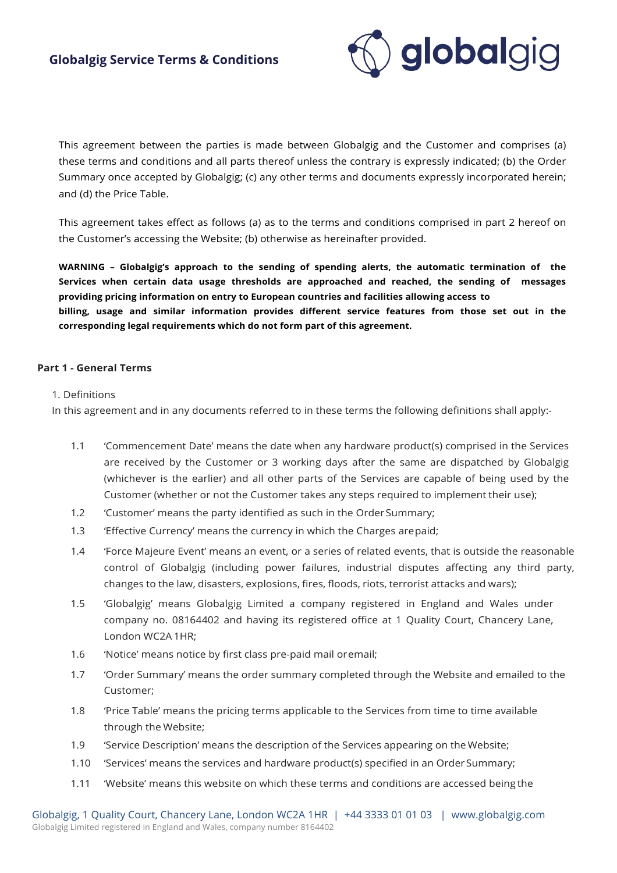

This agreement between the parties is made between Globalgig and the Customer and comprises (a) these terms and conditions and all parts thereof unless the contrary is expressly indicated; (b) the Order Summary once accepted by Globalgig; (c) any other terms and documents expressly incorporated herein; and (d) the Price Table.

This agreement takes effect as follows (a) as to the terms and conditions comprised in part 2 hereof on the Customer's accessing the Website; (b) otherwise as hereinafter provided.

**WARNING – Globalgig's approach to the sending of spending alerts, the automatic termination of the Services when certain data usage thresholds are approached and reached, the sending of messages providing pricing information on entry to European countries and facilities allowing access to billing, usage and similar information provides different service features from those set out in the corresponding legal requirements which do not form part of this agreement.**

#### **Part 1 - General Terms**

#### 1. Definitions

In this agreement and in any documents referred to in these terms the following definitions shall apply:-

- 1.1 'Commencement Date' means the date when any hardware product(s) comprised in the Services are received by the Customer or 3 working days after the same are dispatched by Globalgig (whichever is the earlier) and all other parts of the Services are capable of being used by the Customer (whether or not the Customer takes any steps required to implement their use);
- 1.2 'Customer' means the party identified as such in the OrderSummary;
- 1.3 'Effective Currency' means the currency in which the Charges arepaid;
- 1.4 'Force Majeure Event' means an event, or a series of related events, that is outside the reasonable control of Globalgig (including power failures, industrial disputes affecting any third party, changes to the law, disasters, explosions, fires, floods, riots, terrorist attacks and wars);
- 1.5 'Globalgig' means Globalgig Limited a company registered in England and Wales under company no. 08164402 and having its registered office at 1 Quality Court, Chancery Lane, London WC2A 1HR;
- 1.6 'Notice' means notice by first class pre-paid mail oremail;
- 1.7 'Order Summary' means the order summary completed through the Website and emailed to the Customer;
- 1.8 'Price Table' means the pricing terms applicable to the Services from time to time available through the Website;
- 1.9 'Service Description' means the description of the Services appearing on the Website;
- 1.10 'Services' means the services and hardware product(s) specified in an OrderSummary;
- 1.11 'Website' means this website on which these terms and conditions are accessed being the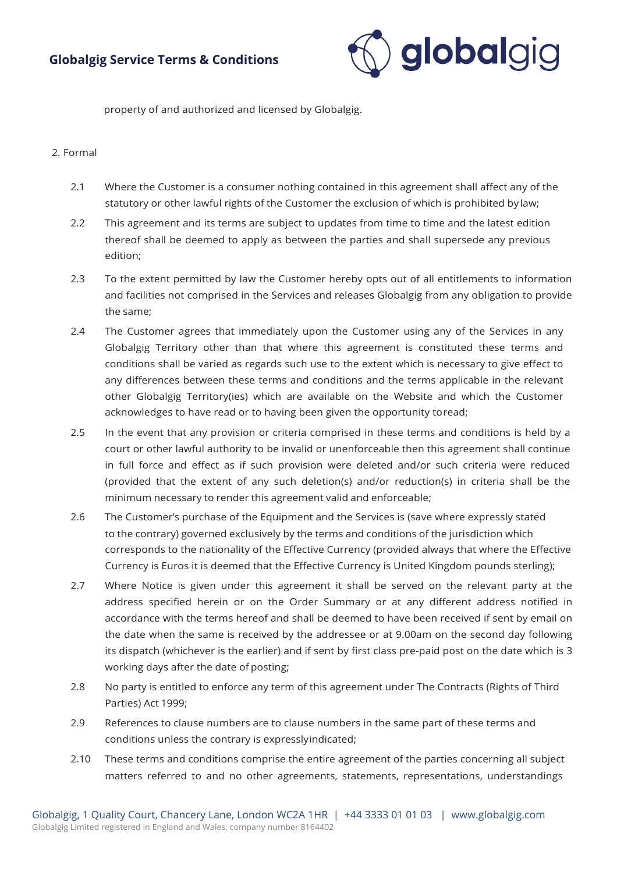

property of and authorized and licensed by Globalgig.

#### 2. Formal

- 2.1 Where the Customer is a consumer nothing contained in this agreement shall affect any of the statutory or other lawful rights of the Customer the exclusion of which is prohibited by law;
- 2.2 This agreement and its terms are subject to updates from time to time and the latest edition thereof shall be deemed to apply as between the parties and shall supersede any previous edition;
- 2.3 To the extent permitted by law the Customer hereby opts out of all entitlements to information and facilities not comprised in the Services and releases Globalgig from any obligation to provide the same;
- 2.4 The Customer agrees that immediately upon the Customer using any of the Services in any Globalgig Territory other than that where this agreement is constituted these terms and conditions shall be varied as regards such use to the extent which is necessary to give effect to any differences between these terms and conditions and the terms applicable in the relevant other Globalgig Territory(ies) which are available on the Website and which the Customer acknowledges to have read or to having been given the opportunity toread;
- 2.5 In the event that any provision or criteria comprised in these terms and conditions is held by a court or other lawful authority to be invalid or unenforceable then this agreement shall continue in full force and effect as if such provision were deleted and/or such criteria were reduced (provided that the extent of any such deletion(s) and/or reduction(s) in criteria shall be the minimum necessary to render this agreement valid and enforceable;
- 2.6 The Customer's purchase of the Equipment and the Services is (save where expressly stated to the contrary) governed exclusively by the terms and conditions of the jurisdiction which corresponds to the nationality of the Effective Currency (provided always that where the Effective Currency is Euros it is deemed that the Effective Currency is United Kingdom pounds sterling);
- 2.7 Where Notice is given under this agreement it shall be served on the relevant party at the address specified herein or on the Order Summary or at any different address notified in accordance with the terms hereof and shall be deemed to have been received if sent by email on the date when the same is received by the addressee or at 9.00am on the second day following its dispatch (whichever is the earlier) and if sent by first class pre-paid post on the date which is 3 working days after the date of posting;
- 2.8 No party is entitled to enforce any term of this agreement under The Contracts (Rights of Third Parties) Act 1999;
- 2.9 References to clause numbers are to clause numbers in the same part of these terms and conditions unless the contrary is expresslyindicated;
- 2.10 These terms and conditions comprise the entire agreement of the parties concerning all subject matters referred to and no other agreements, statements, representations, understandings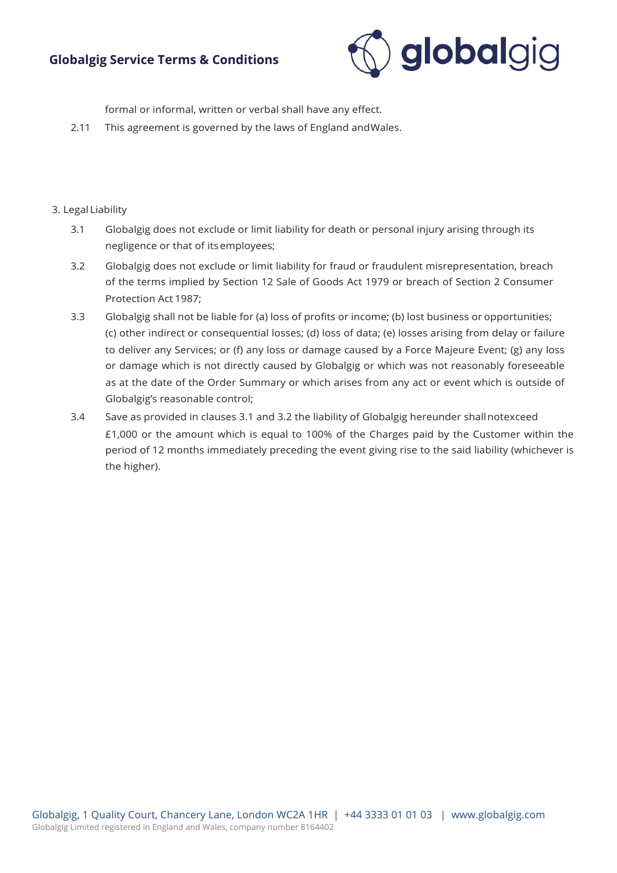

formal or informal, written or verbal shall have any effect.

2.11 This agreement is governed by the laws of England andWales.

### 3. Legal Liability

- 3.1 Globalgig does not exclude or limit liability for death or personal injury arising through its negligence or that of itsemployees;
- 3.2 Globalgig does not exclude or limit liability for fraud or fraudulent misrepresentation, breach of the terms implied by Section 12 Sale of Goods Act 1979 or breach of Section 2 Consumer Protection Act 1987;
- 3.3 Globalgig shall not be liable for (a) loss of profits or income; (b) lost business or opportunities; (c) other indirect or consequential losses; (d) loss of data; (e) losses arising from delay or failure to deliver any Services; or (f) any loss or damage caused by a Force Majeure Event; (g) any loss or damage which is not directly caused by Globalgig or which was not reasonably foreseeable as at the date of the Order Summary or which arises from any act or event which is outside of Globalgig's reasonable control;
- 3.4 Save as provided in clauses 3.1 and 3.2 the liability of Globalgig hereunder shallnotexceed £1,000 or the amount which is equal to 100% of the Charges paid by the Customer within the period of 12 months immediately preceding the event giving rise to the said liability (whichever is the higher).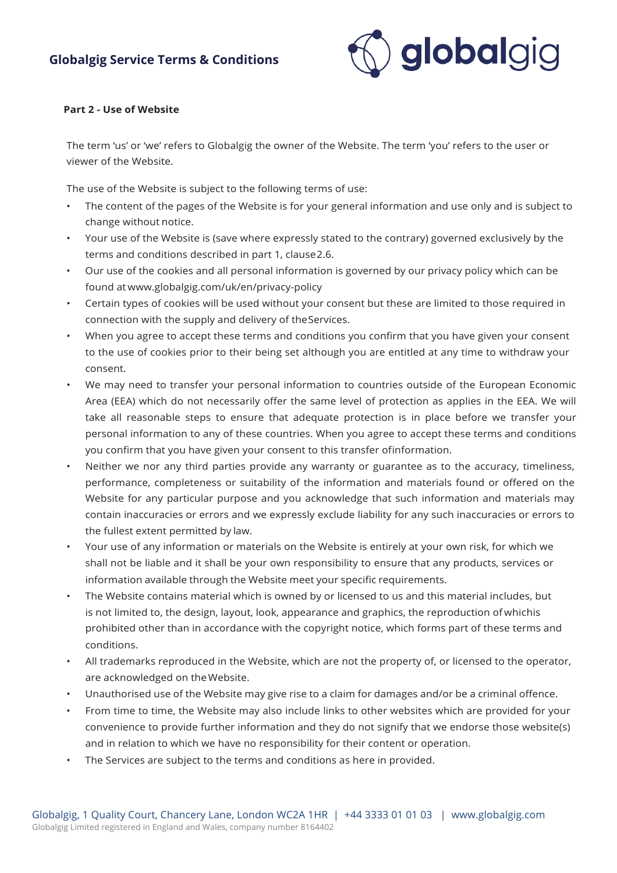

#### **Part 2 - Use of Website**

The term 'us' or 'we' refers to Globalgig the owner of the Website. The term 'you' refers to the user or viewer of the Website.

The use of the Website is subject to the following terms of use:

- The content of the pages of the Website is for your general information and use only and is subject to change without notice.
- Your use of the Website is (save where expressly stated to the contrary) governed exclusively by the terms and conditions described in part 1, clause2.6.
- Our use of the cookies and all personal information is governed by our privacy policy which can be found at [www.globalgig.com/uk/en/privacy-policy](http://www.globalgig.com/uk/en/privacy-policy)
- Certain types of cookies will be used without your consent but these are limited to those required in connection with the supply and delivery of theServices.
- When you agree to accept these terms and conditions you confirm that you have given your consent to the use of cookies prior to their being set although you are entitled at any time to withdraw your consent.
- We may need to transfer your personal information to countries outside of the European Economic Area (EEA) which do not necessarily offer the same level of protection as applies in the EEA. We will take all reasonable steps to ensure that adequate protection is in place before we transfer your personal information to any of these countries. When you agree to accept these terms and conditions you confirm that you have given your consent to this transfer ofinformation.
- Neither we nor any third parties provide any warranty or guarantee as to the accuracy, timeliness, performance, completeness or suitability of the information and materials found or offered on the Website for any particular purpose and you acknowledge that such information and materials may contain inaccuracies or errors and we expressly exclude liability for any such inaccuracies or errors to the fullest extent permitted by law.
- Your use of any information or materials on the Website is entirely at your own risk, for which we shall not be liable and it shall be your own responsibility to ensure that any products, services or information available through the Website meet your specific requirements.
- The Website contains material which is owned by or licensed to us and this material includes, but is not limited to, the design, layout, look, appearance and graphics, the reproduction of whichis prohibited other than in accordance with the copyright notice, which forms part of these terms and conditions.
- All trademarks reproduced in the Website, which are not the property of, or licensed to the operator, are acknowledged on theWebsite.
- Unauthorised use of the Website may give rise to a claim for damages and/or be a criminal offence.
- From time to time, the Website may also include links to other websites which are provided for your convenience to provide further information and they do not signify that we endorse those website(s) and in relation to which we have no responsibility for their content or operation.
- The Services are subject to the terms and conditions as here in provided.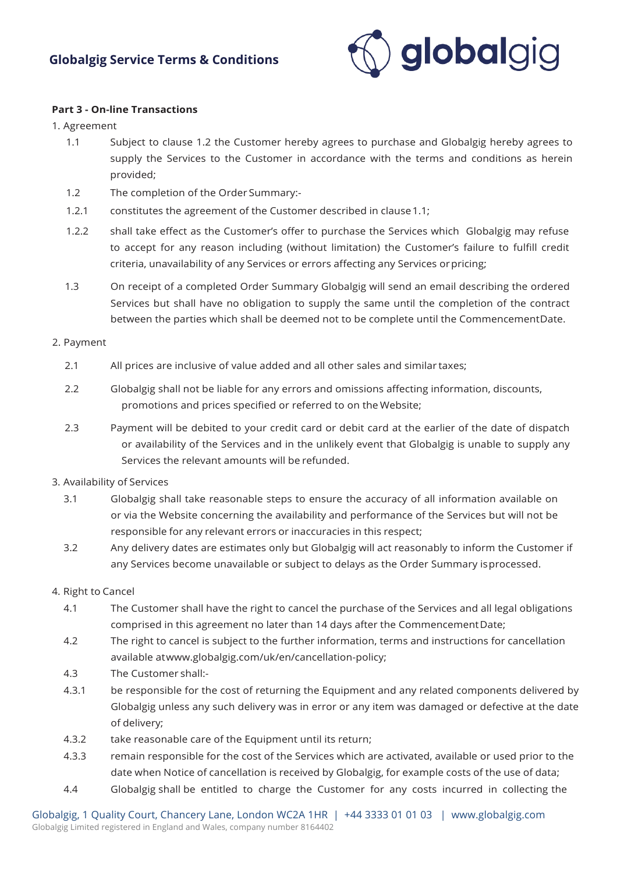

#### **Part 3 - On-line Transactions**

1. Agreement

- 1.1 Subject to clause 1.2 the Customer hereby agrees to purchase and Globalgig hereby agrees to supply the Services to the Customer in accordance with the terms and conditions as herein provided;
- 1.2 The completion of the Order Summary:-
- 1.2.1 constitutes the agreement of the Customer described in clause1.1;
- 1.2.2 shall take effect as the Customer's offer to purchase the Services which Globalgig may refuse to accept for any reason including (without limitation) the Customer's failure to fulfill credit criteria, unavailability of any Services or errors affecting any Services orpricing;
- 1.3 On receipt of a completed Order Summary Globalgig will send an email describing the ordered Services but shall have no obligation to supply the same until the completion of the contract between the parties which shall be deemed not to be complete until the CommencementDate.

### 2. Payment

- 2.1 All prices are inclusive of value added and all other sales and similar taxes;
- 2.2 Globalgig shall not be liable for any errors and omissions affecting information, discounts, promotions and prices specified or referred to on the Website;
- 2.3 Payment will be debited to your credit card or debit card at the earlier of the date of dispatch or availability of the Services and in the unlikely event that Globalgig is unable to supply any Services the relevant amounts will be refunded.
- 3. Availability of Services
	- 3.1 Globalgig shall take reasonable steps to ensure the accuracy of all information available on or via the Website concerning the availability and performance of the Services but will not be responsible for any relevant errors or inaccuracies in this respect;
	- 3.2 Any delivery dates are estimates only but Globalgig will act reasonably to inform the Customer if any Services become unavailable or subject to delays as the Order Summary isprocessed.

### 4. Right to Cancel

- 4.1 The Customer shall have the right to cancel the purchase of the Services and all legal obligations comprised in this agreement no later than 14 days after the CommencementDate;
- 4.2 The right to cancel is subject to the further information, terms and instructions for cancellation available a[twww.globalgig.com/uk/en/cancellation-policy;](http://www.globalgig.com/uk/en/cancellation-policy%3B)
- 4.3 The Customer shall:-
- 4.3.1 be responsible for the cost of returning the Equipment and any related components delivered by Globalgig unless any such delivery was in error or any item was damaged or defective at the date of delivery;
- 4.3.2 take reasonable care of the Equipment until its return;
- 4.3.3 remain responsible for the cost of the Services which are activated, available or used prior to the date when Notice of cancellation is received by Globalgig, for example costs of the use of data;
- 4.4 Globalgig shall be entitled to charge the Customer for any costs incurred in collecting the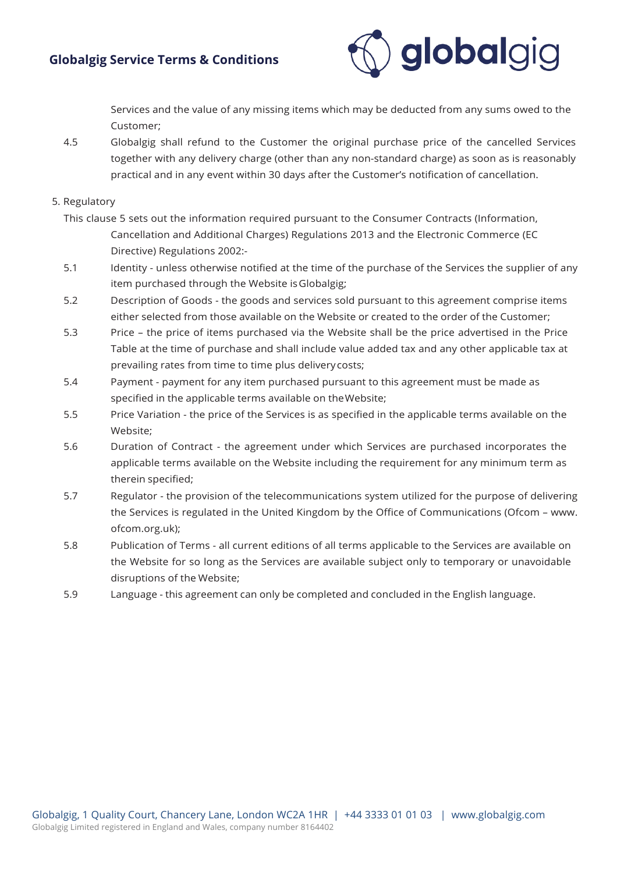

Services and the value of any missing items which may be deducted from any sums owed to the Customer;

4.5 Globalgig shall refund to the Customer the original purchase price of the cancelled Services together with any delivery charge (other than any non-standard charge) as soon as is reasonably practical and in any event within 30 days after the Customer's notification of cancellation.

### 5. Regulatory

- This clause 5 sets out the information required pursuant to the Consumer Contracts (Information, Cancellation and Additional Charges) Regulations 2013 and the Electronic Commerce (EC Directive) Regulations 2002:-
- 5.1 Identity unless otherwise notified at the time of the purchase of the Services the supplier of any item purchased through the Website isGlobalgig;
- 5.2 Description of Goods the goods and services sold pursuant to this agreement comprise items either selected from those available on the Website or created to the order of the Customer;
- 5.3 Price the price of items purchased via the Website shall be the price advertised in the Price Table at the time of purchase and shall include value added tax and any other applicable tax at prevailing rates from time to time plus deliverycosts;
- 5.4 Payment payment for any item purchased pursuant to this agreement must be made as specified in the applicable terms available on theWebsite;
- 5.5 Price Variation the price of the Services is as specified in the applicable terms available on the Website;
- 5.6 Duration of Contract the agreement under which Services are purchased incorporates the applicable terms available on the Website including the requirement for any minimum term as therein specified;
- 5.7 Regulator the provision of the telecommunications system utilized for the purpose of delivering the Services is regulated in the United Kingdom by the Office [of Communications \(Ofcom –](http://www/) www. ofcom.org.uk);
- 5.8 Publication of Terms all current editions of all terms applicable to the Services are available on the Website for so long as the Services are available subject only to temporary or unavoidable disruptions of the Website;
- 5.9 Language this agreement can only be completed and concluded in the English language.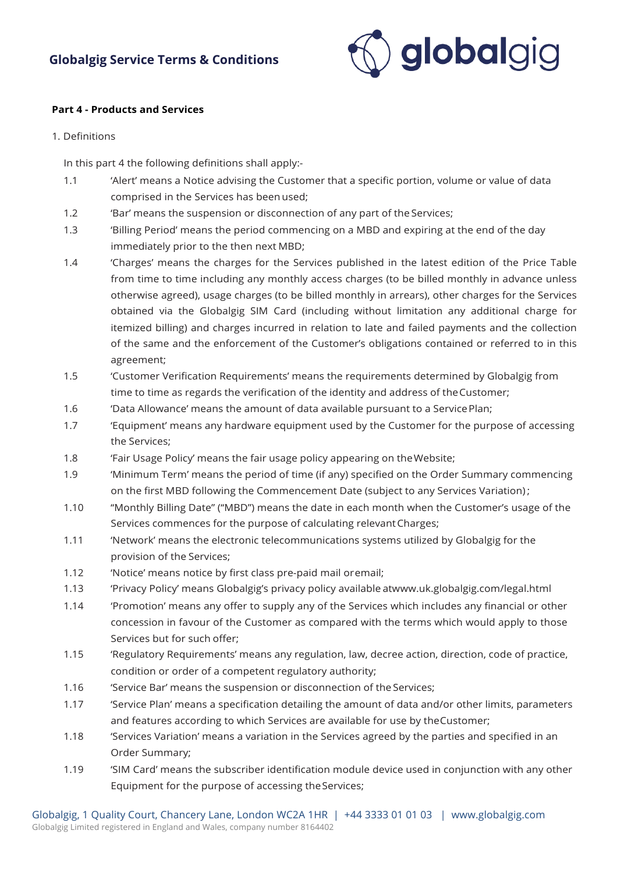

#### **Part 4 - Products and Services**

#### 1. Definitions

In this part 4 the following definitions shall apply:-

- 1.1 'Alert' means a Notice advising the Customer that a specific portion, volume or value of data comprised in the Services has been used;
- 1.2 'Bar' means the suspension or disconnection of any part of the Services;
- 1.3 'Billing Period' means the period commencing on a MBD and expiring at the end of the day immediately prior to the then next MBD;
- 1.4 'Charges' means the charges for the Services published in the latest edition of the Price Table from time to time including any monthly access charges (to be billed monthly in advance unless otherwise agreed), usage charges (to be billed monthly in arrears), other charges for the Services obtained via the Globalgig SIM Card (including without limitation any additional charge for itemized billing) and charges incurred in relation to late and failed payments and the collection of the same and the enforcement of the Customer's obligations contained or referred to in this agreement;
- 1.5 'Customer Verification Requirements' means the requirements determined by Globalgig from time to time as regards the verification of the identity and address of theCustomer;
- 1.6 'Data Allowance' means the amount of data available pursuant to a ServicePlan;
- 1.7 'Equipment' means any hardware equipment used by the Customer for the purpose of accessing the Services;
- 1.8 'Fair Usage Policy' means the fair usage policy appearing on theWebsite;
- 1.9 'Minimum Term' means the period of time (if any) specified on the Order Summary commencing on the first MBD following the Commencement Date (subject to any Services Variation) ;
- 1.10 "Monthly Billing Date" ("MBD") means the date in each month when the Customer's usage of the Services commences for the purpose of calculating relevantCharges;
- 1.11 'Network' means the electronic telecommunications systems utilized by Globalgig for the provision of the Services;
- 1.12 'Notice' means notice by first class pre-paid mail oremail;
- 1.13 'Privacy Policy' means Globalgig's privacy policy available a[twww.uk.globalgig.com/legal.html](http://www.uk.globalgig.com/legal.html)
- 1.14 'Promotion' means any offer to supply any of the Services which includes any financial or other concession in favour of the Customer as compared with the terms which would apply to those Services but for such offer;
- 1.15 'Regulatory Requirements' means any regulation, law, decree action, direction, code of practice, condition or order of a competent regulatory authority;
- 1.16 'Service Bar' means the suspension or disconnection of the Services;
- 1.17 'Service Plan' means a specification detailing the amount of data and/or other limits, parameters and features according to which Services are available for use by theCustomer;
- 1.18 'Services Variation' means a variation in the Services agreed by the parties and specified in an Order Summary;
- 1.19 'SIM Card' means the subscriber identification module device used in conjunction with any other Equipment for the purpose of accessing theServices;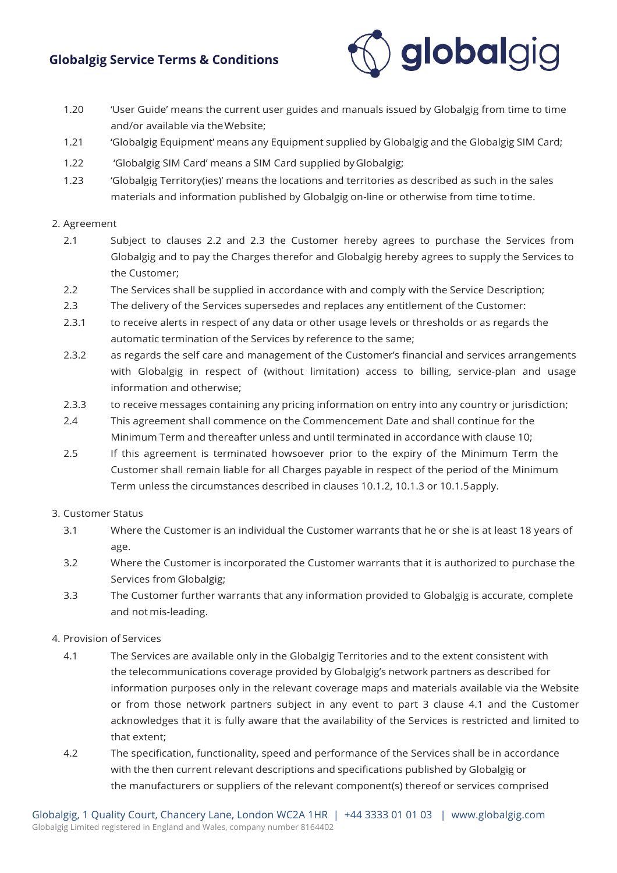

- 1.20 'User Guide' means the current user guides and manuals issued by Globalgig from time to time and/or available via theWebsite;
- 1.21 'Globalgig Equipment' means any Equipment supplied by Globalgig and the Globalgig SIM Card;
- 1.22 'Globalgig SIM Card' means a SIM Card supplied byGlobalgig;
- 1.23 'Globalgig Territory(ies)' means the locations and territories as described as such in the sales materials and information published by Globalgig on-line or otherwise from time totime.

#### 2. Agreement

- 2.1 Subject to clauses 2.2 and 2.3 the Customer hereby agrees to purchase the Services from Globalgig and to pay the Charges therefor and Globalgig hereby agrees to supply the Services to the Customer;
- 2.2 The Services shall be supplied in accordance with and comply with the Service Description;
- 2.3 The delivery of the Services supersedes and replaces any entitlement of the Customer:
- 2.3.1 to receive alerts in respect of any data or other usage levels or thresholds or as regards the automatic termination of the Services by reference to the same;
- 2.3.2 as regards the self care and management of the Customer's financial and services arrangements with Globalgig in respect of (without limitation) access to billing, service-plan and usage information and otherwise;
- 2.3.3 to receive messages containing any pricing information on entry into any country or jurisdiction;
- 2.4 This agreement shall commence on the Commencement Date and shall continue for the Minimum Term and thereafter unless and until terminated in accordance with clause 10;
- 2.5 If this agreement is terminated howsoever prior to the expiry of the Minimum Term the Customer shall remain liable for all Charges payable in respect of the period of the Minimum Term unless the circumstances described in clauses 10.1.2, 10.1.3 or 10.1.5apply.

#### 3. Customer Status

- 3.1 Where the Customer is an individual the Customer warrants that he or she is at least 18 years of age.
- 3.2 Where the Customer is incorporated the Customer warrants that it is authorized to purchase the Services from Globalgig;
- 3.3 The Customer further warrants that any information provided to Globalgig is accurate, complete and not mis-leading.

#### 4. Provision of Services

- 4.1 The Services are available only in the Globalgig Territories and to the extent consistent with the telecommunications coverage provided by Globalgig's network partners as described for information purposes only in the relevant coverage maps and materials available via the Website or from those network partners subject in any event to part 3 clause 4.1 and the Customer acknowledges that it is fully aware that the availability of the Services is restricted and limited to that extent;
- 4.2 The specification, functionality, speed and performance of the Services shall be in accordance with the then current relevant descriptions and specifications published by Globalgig or the manufacturers or suppliers of the relevant component(s) thereof or services comprised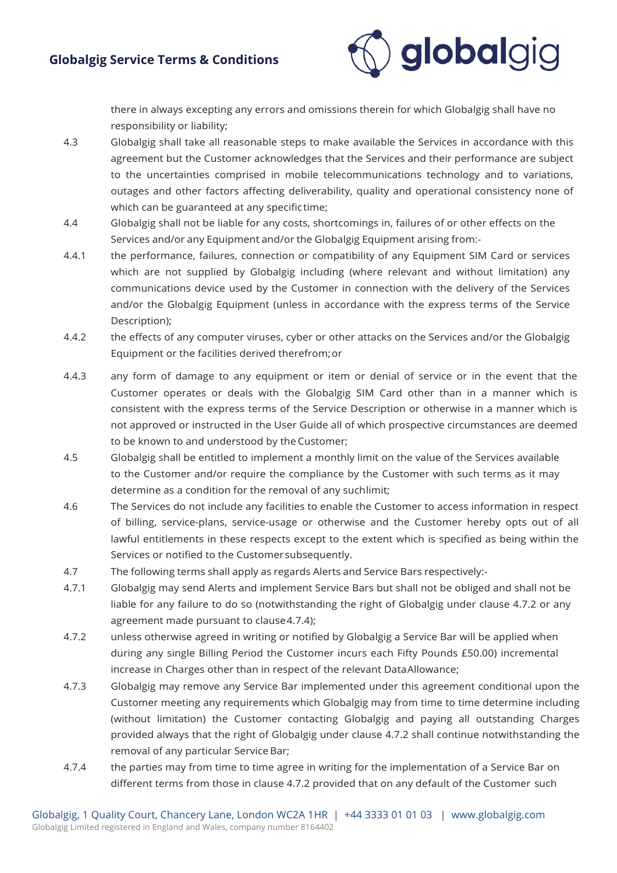

there in always excepting any errors and omissions therein for which Globalgig shall have no responsibility or liability;

- 4.3 Globalgig shall take all reasonable steps to make available the Services in accordance with this agreement but the Customer acknowledges that the Services and their performance are subject to the uncertainties comprised in mobile telecommunications technology and to variations, outages and other factors affecting deliverability, quality and operational consistency none of which can be guaranteed at any specifictime;
- 4.4 Globalgig shall not be liable for any costs, shortcomings in, failures of or other effects on the Services and/or any Equipment and/or the Globalgig Equipment arising from:-
- 4.4.1 the performance, failures, connection or compatibility of any Equipment SIM Card or services which are not supplied by Globalgig including (where relevant and without limitation) any communications device used by the Customer in connection with the delivery of the Services and/or the Globalgig Equipment (unless in accordance with the express terms of the Service Description);
- 4.4.2 the effects of any computer viruses, cyber or other attacks on the Services and/or the Globalgig Equipment or the facilities derived therefrom;or
- 4.4.3 any form of damage to any equipment or item or denial of service or in the event that the Customer operates or deals with the Globalgig SIM Card other than in a manner which is consistent with the express terms of the Service Description or otherwise in a manner which is not approved or instructed in the User Guide all of which prospective circumstances are deemed to be known to and understood by the Customer;
- 4.5 Globalgig shall be entitled to implement a monthly limit on the value of the Services available to the Customer and/or require the compliance by the Customer with such terms as it may determine as a condition for the removal of any suchlimit;
- 4.6 The Services do not include any facilities to enable the Customer to access information in respect of billing, service-plans, service-usage or otherwise and the Customer hereby opts out of all lawful entitlements in these respects except to the extent which is specified as being within the Services or notified to the Customersubsequently.
- 4.7 The following terms shall apply as regards Alerts and Service Bars respectively:-
- 4.7.1 Globalgig may send Alerts and implement Service Bars but shall not be obliged and shall not be liable for any failure to do so (notwithstanding the right of Globalgig under clause 4.7.2 or any agreement made pursuant to clause4.7.4);
- 4.7.2 unless otherwise agreed in writing or notified by Globalgig a Service Bar will be applied when during any single Billing Period the Customer incurs each Fifty Pounds £50.00) incremental increase in Charges other than in respect of the relevant DataAllowance;
- 4.7.3 Globalgig may remove any Service Bar implemented under this agreement conditional upon the Customer meeting any requirements which Globalgig may from time to time determine including (without limitation) the Customer contacting Globalgig and paying all outstanding Charges provided always that the right of Globalgig under clause 4.7.2 shall continue notwithstanding the removal of any particular Service Bar;
- 4.7.4 the parties may from time to time agree in writing for the implementation of a Service Bar on different terms from those in clause 4.7.2 provided that on any default of the Customer such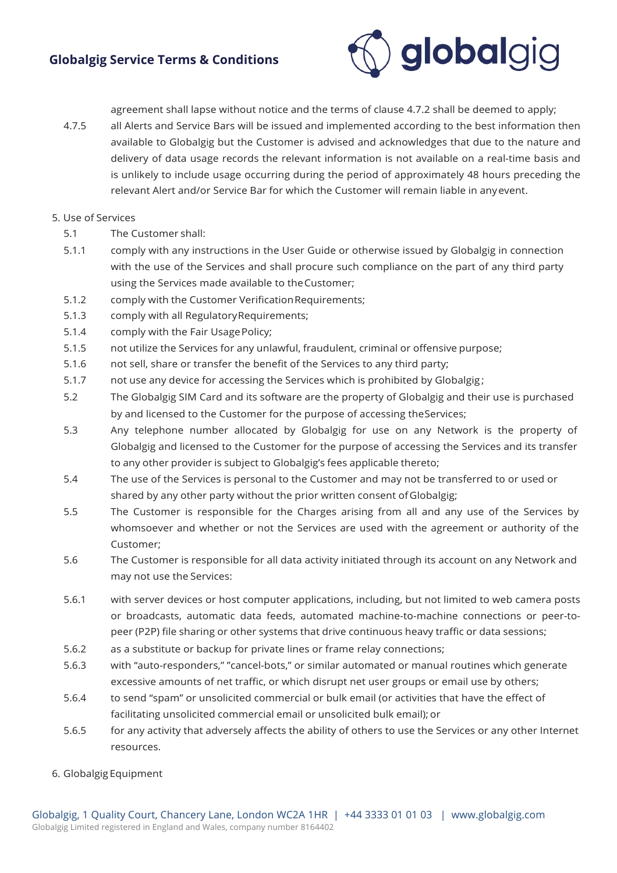

agreement shall lapse without notice and the terms of clause 4.7.2 shall be deemed to apply;

4.7.5 all Alerts and Service Bars will be issued and implemented according to the best information then available to Globalgig but the Customer is advised and acknowledges that due to the nature and delivery of data usage records the relevant information is not available on a real-time basis and is unlikely to include usage occurring during the period of approximately 48 hours preceding the relevant Alert and/or Service Bar for which the Customer will remain liable in anyevent.

#### 5. Use of Services

- 5.1 The Customer shall:
- 5.1.1 comply with any instructions in the User Guide or otherwise issued by Globalgig in connection with the use of the Services and shall procure such compliance on the part of any third party using the Services made available to theCustomer;
- 5.1.2 comply with the Customer VerificationRequirements;
- 5.1.3 comply with all RegulatoryRequirements;
- 5.1.4 comply with the Fair Usage Policy;
- 5.1.5 not utilize the Services for any unlawful, fraudulent, criminal or offensive purpose;
- 5.1.6 not sell, share or transfer the benefit of the Services to any third party;
- 5.1.7 not use any device for accessing the Services which is prohibited by Globalgig ;
- 5.2 The Globalgig SIM Card and its software are the property of Globalgig and their use is purchased by and licensed to the Customer for the purpose of accessing theServices;
- 5.3 Any telephone number allocated by Globalgig for use on any Network is the property of Globalgig and licensed to the Customer for the purpose of accessing the Services and its transfer to any other provider is subject to Globalgig's fees applicable thereto;
- 5.4 The use of the Services is personal to the Customer and may not be transferred to or used or shared by any other party without the prior written consent ofGlobalgig;
- 5.5 The Customer is responsible for the Charges arising from all and any use of the Services by whomsoever and whether or not the Services are used with the agreement or authority of the Customer;
- 5.6 The Customer is responsible for all data activity initiated through its account on any Network and may not use the Services:
- 5.6.1 with server devices or host computer applications, including, but not limited to web camera posts or broadcasts, automatic data feeds, automated machine-to-machine connections or peer-topeer (P2P) file sharing or other systems that drive continuous heavy traffic or data sessions;
- 5.6.2 as a substitute or backup for private lines or frame relay connections;
- 5.6.3 with "auto-responders," "cancel-bots," or similar automated or manual routines which generate excessive amounts of net traffic, or which disrupt net user groups or email use by others;
- 5.6.4 to send "spam" or unsolicited commercial or bulk email (or activities that have the effect of facilitating unsolicited commercial email or unsolicited bulk email); or
- 5.6.5 for any activity that adversely affects the ability of others to use the Services or any other Internet resources.

6. Globalgig Equipment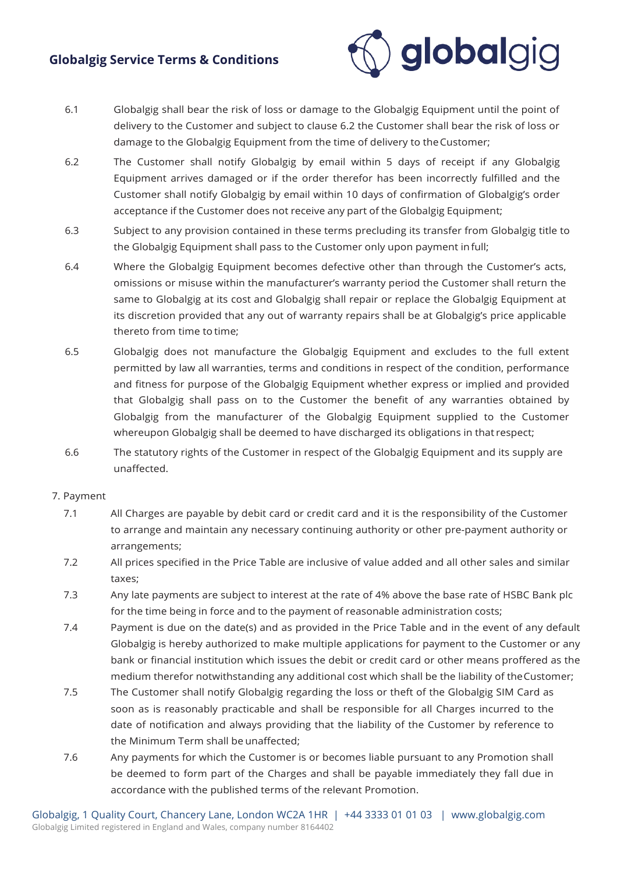

- 6.1 Globalgig shall bear the risk of loss or damage to the Globalgig Equipment until the point of delivery to the Customer and subject to clause 6.2 the Customer shall bear the risk of loss or damage to the Globalgig Equipment from the time of delivery to theCustomer;
- 6.2 The Customer shall notify Globalgig by email within 5 days of receipt if any Globalgig Equipment arrives damaged or if the order therefor has been incorrectly fulfilled and the Customer shall notify Globalgig by email within 10 days of confirmation of Globalgig's order acceptance if the Customer does not receive any part of the Globalgig Equipment;
- 6.3 Subject to any provision contained in these terms precluding its transfer from Globalgig title to the Globalgig Equipment shall pass to the Customer only upon payment infull;
- 6.4 Where the Globalgig Equipment becomes defective other than through the Customer's acts, omissions or misuse within the manufacturer's warranty period the Customer shall return the same to Globalgig at its cost and Globalgig shall repair or replace the Globalgig Equipment at its discretion provided that any out of warranty repairs shall be at Globalgig's price applicable thereto from time to time;
- 6.5 Globalgig does not manufacture the Globalgig Equipment and excludes to the full extent permitted by law all warranties, terms and conditions in respect of the condition, performance and fitness for purpose of the Globalgig Equipment whether express or implied and provided that Globalgig shall pass on to the Customer the benefit of any warranties obtained by Globalgig from the manufacturer of the Globalgig Equipment supplied to the Customer whereupon Globalgig shall be deemed to have discharged its obligations in that respect;
- 6.6 The statutory rights of the Customer in respect of the Globalgig Equipment and its supply are unaffected.

#### 7. Payment

- 7.1 All Charges are payable by debit card or credit card and it is the responsibility of the Customer to arrange and maintain any necessary continuing authority or other pre-payment authority or arrangements;
- 7.2 All prices specified in the Price Table are inclusive of value added and all other sales and similar taxes;
- 7.3 Any late payments are subject to interest at the rate of 4% above the base rate of HSBC Bank plc for the time being in force and to the payment of reasonable administration costs;
- 7.4 Payment is due on the date(s) and as provided in the Price Table and in the event of any default Globalgig is hereby authorized to make multiple applications for payment to the Customer or any bank or financial institution which issues the debit or credit card or other means proffered as the medium therefor notwithstanding any additional cost which shall be the liability of theCustomer;
- 7.5 The Customer shall notify Globalgig regarding the loss or theft of the Globalgig SIM Card as soon as is reasonably practicable and shall be responsible for all Charges incurred to the date of notification and always providing that the liability of the Customer by reference to the Minimum Term shall be unaffected;
- 7.6 Any payments for which the Customer is or becomes liable pursuant to any Promotion shall be deemed to form part of the Charges and shall be payable immediately they fall due in accordance with the published terms of the relevant Promotion.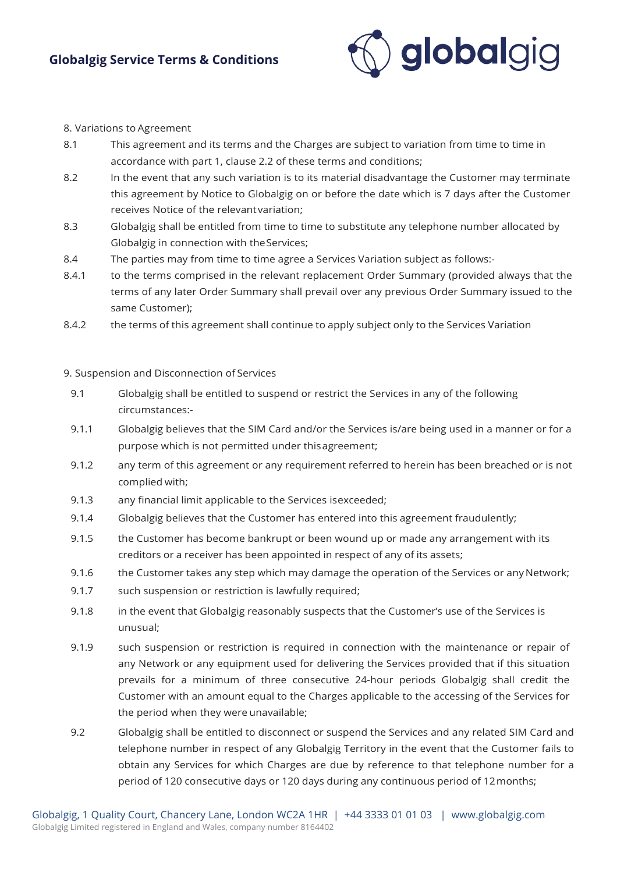

#### 8. Variations to Agreement

- 8.1 This agreement and its terms and the Charges are subject to variation from time to time in accordance with part 1, clause 2.2 of these terms and conditions;
- 8.2 In the event that any such variation is to its material disadvantage the Customer may terminate this agreement by Notice to Globalgig on or before the date which is 7 days after the Customer receives Notice of the relevantvariation;
- 8.3 Globalgig shall be entitled from time to time to substitute any telephone number allocated by Globalgig in connection with theServices;
- 8.4 The parties may from time to time agree a Services Variation subject as follows:-
- 8.4.1 to the terms comprised in the relevant replacement Order Summary (provided always that the terms of any later Order Summary shall prevail over any previous Order Summary issued to the same Customer);
- 8.4.2 the terms of this agreement shall continue to apply subject only to the Services Variation

#### 9. Suspension and Disconnection of Services

- 9.1 Globalgig shall be entitled to suspend or restrict the Services in any of the following circumstances:-
- 9.1.1 Globalgig believes that the SIM Card and/or the Services is/are being used in a manner or for a purpose which is not permitted under thisagreement;
- 9.1.2 any term of this agreement or any requirement referred to herein has been breached or is not complied with;
- 9.1.3 any financial limit applicable to the Services isexceeded;
- 9.1.4 Globalgig believes that the Customer has entered into this agreement fraudulently;
- 9.1.5 the Customer has become bankrupt or been wound up or made any arrangement with its creditors or a receiver has been appointed in respect of any of its assets;
- 9.1.6 the Customer takes any step which may damage the operation of the Services or any Network;
- 9.1.7 such suspension or restriction is lawfully required;
- 9.1.8 in the event that Globalgig reasonably suspects that the Customer's use of the Services is unusual;
- 9.1.9 such suspension or restriction is required in connection with the maintenance or repair of any Network or any equipment used for delivering the Services provided that if this situation prevails for a minimum of three consecutive 24-hour periods Globalgig shall credit the Customer with an amount equal to the Charges applicable to the accessing of the Services for the period when they were unavailable;
- 9.2 Globalgig shall be entitled to disconnect or suspend the Services and any related SIM Card and telephone number in respect of any Globalgig Territory in the event that the Customer fails to obtain any Services for which Charges are due by reference to that telephone number for a period of 120 consecutive days or 120 days during any continuous period of 12months;